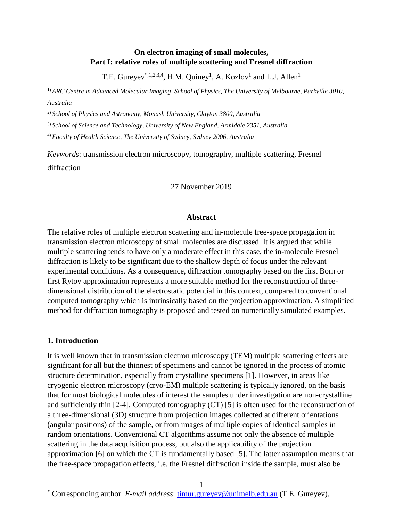# **On electron imaging of small molecules, Part I: relative roles of multiple scattering and Fresnel diffraction**

T.E. Gureyev<sup>\*,1,2,3,4</sup>, H.M. Quiney<sup>1</sup>, A. Kozlov<sup>1</sup> and L.J. Allen<sup>1</sup>

1) *ARC Centre in Advanced Molecular Imaging, School of Physics, The University of Melbourne, Parkville 3010, Australia*

2) *School of Physics and Astronomy, Monash University, Clayton 3800, Australia*

3) *School of Science and Technology, University of New England, Armidale 2351, Australia*

4) *Faculty of Health Science, The University of Sydney, Sydney 2006, Australia*

*Keywords*: transmission electron microscopy, tomography, multiple scattering, Fresnel diffraction

### 27 November 2019

### **Abstract**

The relative roles of multiple electron scattering and in-molecule free-space propagation in transmission electron microscopy of small molecules are discussed. It is argued that while multiple scattering tends to have only a moderate effect in this case, the in-molecule Fresnel diffraction is likely to be significant due to the shallow depth of focus under the relevant experimental conditions. As a consequence, diffraction tomography based on the first Born or first Rytov approximation represents a more suitable method for the reconstruction of threedimensional distribution of the electrostatic potential in this context, compared to conventional computed tomography which is intrinsically based on the projection approximation. A simplified method for diffraction tomography is proposed and tested on numerically simulated examples.

## **1. Introduction**

It is well known that in transmission electron microscopy (TEM) multiple scattering effects are significant for all but the thinnest of specimens and cannot be ignored in the process of atomic structure determination, especially from crystalline specimens [1]. However, in areas like cryogenic electron microscopy (cryo-EM) multiple scattering is typically ignored, on the basis that for most biological molecules of interest the samples under investigation are non-crystalline and sufficiently thin [2-4]. Computed tomography (CT) [5] is often used for the reconstruction of a three-dimensional (3D) structure from projection images collected at different orientations (angular positions) of the sample, or from images of multiple copies of identical samples in random orientations. Conventional CT algorithms assume not only the absence of multiple scattering in the data acquisition process, but also the applicability of the projection approximation [6] on which the CT is fundamentally based [5]. The latter assumption means that the free-space propagation effects, i.e. the Fresnel diffraction inside the sample, must also be

<sup>\*</sup> Corresponding author. *E-mail address*: [timur.gureyev@unimelb.edu.au](mailto:timur.gureyev@unimelb.edu.au) (T.E. Gureyev).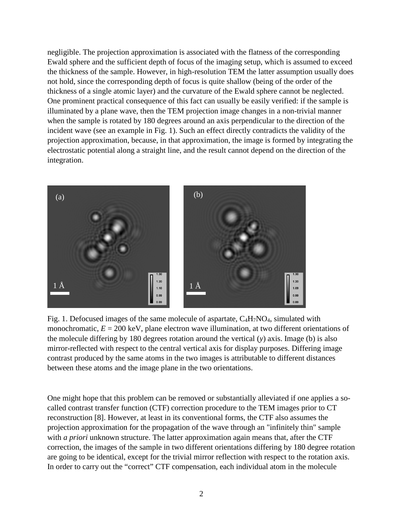negligible. The projection approximation is associated with the flatness of the corresponding Ewald sphere and the sufficient depth of focus of the imaging setup, which is assumed to exceed the thickness of the sample. However, in high-resolution TEM the latter assumption usually does not hold, since the corresponding depth of focus is quite shallow (being of the order of the thickness of a single atomic layer) and the curvature of the Ewald sphere cannot be neglected. One prominent practical consequence of this fact can usually be easily verified: if the sample is illuminated by a plane wave, then the TEM projection image changes in a non-trivial manner when the sample is rotated by 180 degrees around an axis perpendicular to the direction of the incident wave (see an example in Fig. 1). Such an effect directly contradicts the validity of the projection approximation, because, in that approximation, the image is formed by integrating the electrostatic potential along a straight line, and the result cannot depend on the direction of the integration.



Fig. 1. Defocused images of the same molecule of aspartate,  $C_4H_7NO_4$ , simulated with monochromatic,  $E = 200 \text{ keV}$ , plane electron wave illumination, at two different orientations of the molecule differing by 180 degrees rotation around the vertical (*y*) axis. Image (b) is also mirror-reflected with respect to the central vertical axis for display purposes. Differing image contrast produced by the same atoms in the two images is attributable to different distances between these atoms and the image plane in the two orientations.

One might hope that this problem can be removed or substantially alleviated if one applies a socalled contrast transfer function (CTF) correction procedure to the TEM images prior to CT reconstruction [8]. However, at least in its conventional forms, the CTF also assumes the projection approximation for the propagation of the wave through an "infinitely thin" sample with *a priori* unknown structure. The latter approximation again means that, after the CTF correction, the images of the sample in two different orientations differing by 180 degree rotation are going to be identical, except for the trivial mirror reflection with respect to the rotation axis. In order to carry out the "correct" CTF compensation, each individual atom in the molecule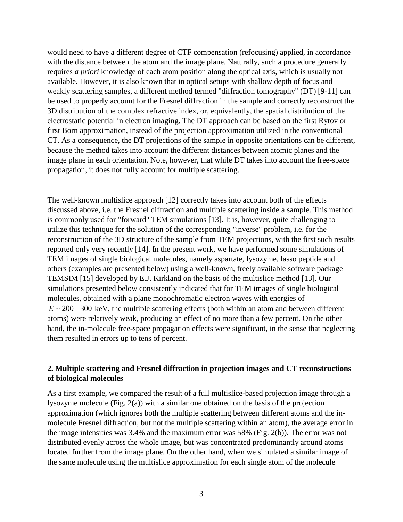would need to have a different degree of CTF compensation (refocusing) applied, in accordance with the distance between the atom and the image plane. Naturally, such a procedure generally requires *a priori* knowledge of each atom position along the optical axis, which is usually not available. However, it is also known that in optical setups with shallow depth of focus and weakly scattering samples, a different method termed "diffraction tomography" (DT) [9-11] can be used to properly account for the Fresnel diffraction in the sample and correctly reconstruct the 3D distribution of the complex refractive index, or, equivalently, the spatial distribution of the electrostatic potential in electron imaging. The DT approach can be based on the first Rytov or first Born approximation, instead of the projection approximation utilized in the conventional CT. As a consequence, the DT projections of the sample in opposite orientations can be different, because the method takes into account the different distances between atomic planes and the image plane in each orientation. Note, however, that while DT takes into account the free-space propagation, it does not fully account for multiple scattering.

The well-known multislice approach [12] correctly takes into account both of the effects discussed above, i.e. the Fresnel diffraction and multiple scattering inside a sample. This method is commonly used for "forward" TEM simulations [13]. It is, however, quite challenging to utilize this technique for the solution of the corresponding "inverse" problem, i.e. for the reconstruction of the 3D structure of the sample from TEM projections, with the first such results reported only very recently [14]. In the present work, we have performed some simulations of TEM images of single biological molecules, namely aspartate, lysozyme, lasso peptide and others (examples are presented below) using a well-known, freely available software package TEMSIM [15] developed by E.J. Kirkland on the basis of the multislice method [13]. Our simulations presented below consistently indicated that for TEM images of single biological molecules, obtained with a plane monochromatic electron waves with energies of  $E \sim 200 - 300$  keV, the multiple scattering effects (both within an atom and between different atoms) were relatively weak, producing an effect of no more than a few percent. On the other hand, the in-molecule free-space propagation effects were significant, in the sense that neglecting them resulted in errors up to tens of percent.

# **2. Multiple scattering and Fresnel diffraction in projection images and CT reconstructions of biological molecules**

As a first example, we compared the result of a full multislice-based projection image through a lysozyme molecule (Fig. 2(a)) with a similar one obtained on the basis of the projection approximation (which ignores both the multiple scattering between different atoms and the inmolecule Fresnel diffraction, but not the multiple scattering within an atom), the average error in the image intensities was 3.4% and the maximum error was 58% (Fig. 2(b)). The error was not distributed evenly across the whole image, but was concentrated predominantly around atoms located further from the image plane. On the other hand, when we simulated a similar image of the same molecule using the multislice approximation for each single atom of the molecule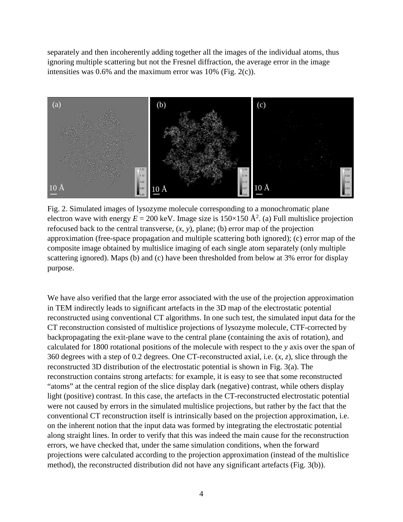separately and then incoherently adding together all the images of the individual atoms, thus ignoring multiple scattering but not the Fresnel diffraction, the average error in the image intensities was 0.6% and the maximum error was 10% (Fig. 2(c)).



Fig. 2. Simulated images of lysozyme molecule corresponding to a monochromatic plane electron wave with energy  $E = 200$  keV. Image size is  $150 \times 150$  Å<sup>2</sup>. (a) Full multislice projection refocused back to the central transverse,  $(x, y)$ , plane; (b) error map of the projection approximation (free-space propagation and multiple scattering both ignored); (c) error map of the composite image obtained by multislice imaging of each single atom separately (only multiple scattering ignored). Maps (b) and (c) have been thresholded from below at 3% error for display purpose.

We have also verified that the large error associated with the use of the projection approximation in TEM indirectly leads to significant artefacts in the 3D map of the electrostatic potential reconstructed using conventional CT algorithms. In one such test, the simulated input data for the CT reconstruction consisted of multislice projections of lysozyme molecule, CTF-corrected by backpropagating the exit-plane wave to the central plane (containing the axis of rotation), and calculated for 1800 rotational positions of the molecule with respect to the *y* axis over the span of 360 degrees with a step of 0.2 degrees. One CT-reconstructed axial, i.e. (*x*, *z*), slice through the reconstructed 3D distribution of the electrostatic potential is shown in Fig. 3(a). The reconstruction contains strong artefacts: for example, it is easy to see that some reconstructed "atoms" at the central region of the slice display dark (negative) contrast, while others display light (positive) contrast. In this case, the artefacts in the CT-reconstructed electrostatic potential were not caused by errors in the simulated multislice projections, but rather by the fact that the conventional CT reconstruction itself is intrinsically based on the projection approximation, i.e. on the inherent notion that the input data was formed by integrating the electrostatic potential along straight lines. In order to verify that this was indeed the main cause for the reconstruction errors, we have checked that, under the same simulation conditions, when the forward projections were calculated according to the projection approximation (instead of the multislice method), the reconstructed distribution did not have any significant artefacts (Fig. 3(b)).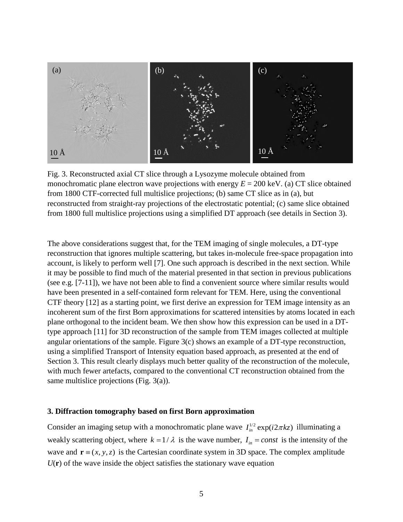

Fig. 3. Reconstructed axial CT slice through a Lysozyme molecule obtained from monochromatic plane electron wave projections with energy  $E = 200 \text{ keV}$ . (a) CT slice obtained from 1800 CTF-corrected full multislice projections; (b) same CT slice as in (a), but reconstructed from straight-ray projections of the electrostatic potential; (c) same slice obtained from 1800 full multislice projections using a simplified DT approach (see details in Section 3).

The above considerations suggest that, for the TEM imaging of single molecules, a DT-type reconstruction that ignores multiple scattering, but takes in-molecule free-space propagation into account, is likely to perform well [7]. One such approach is described in the next section. While it may be possible to find much of the material presented in that section in previous publications (see e.g. [7-11]), we have not been able to find a convenient source where similar results would have been presented in a self-contained form relevant for TEM. Here, using the conventional CTF theory [12] as a starting point, we first derive an expression for TEM image intensity as an incoherent sum of the first Born approximations for scattered intensities by atoms located in each plane orthogonal to the incident beam. We then show how this expression can be used in a DTtype approach [11] for 3D reconstruction of the sample from TEM images collected at multiple angular orientations of the sample. Figure 3(c) shows an example of a DT-type reconstruction, using a simplified Transport of Intensity equation based approach, as presented at the end of Section 3. This result clearly displays much better quality of the reconstruction of the molecule, with much fewer artefacts, compared to the conventional CT reconstruction obtained from the same multislice projections (Fig. 3(a)).

### **3. Diffraction tomography based on first Born approximation**

Consider an imaging setup with a monochromatic plane wave  $I_{in}^{1/2} \exp(i2\pi kz)$  illuminating a weakly scattering object, where  $k = 1/\lambda$  is the wave number,  $I_{in} = const$  is the intensity of the wave and  $\mathbf{r} = (x, y, z)$  is the Cartesian coordinate system in 3D space. The complex amplitude  $U(\mathbf{r})$  of the wave inside the object satisfies the stationary wave equation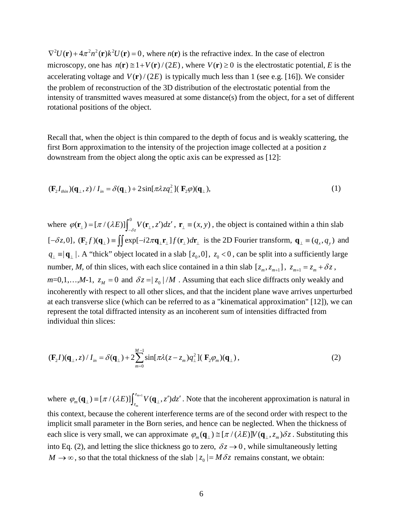$\nabla^2 U(\mathbf{r}) + 4\pi^2 n^2(\mathbf{r}) k^2 U(\mathbf{r}) = 0$ , where  $n(\mathbf{r})$  is the refractive index. In the case of electron microscopy, one has  $n(\mathbf{r}) \leq 1 + V(\mathbf{r})/(2E)$ , where  $V(\mathbf{r}) \geq 0$  is the electrostatic potential, *E* is the accelerating voltage and  $V(\mathbf{r})/(2E)$  is typically much less than 1 (see e.g. [16]). We consider the problem of reconstruction of the 3D distribution of the electrostatic potential from the intensity of transmitted waves measured at some distance(s) from the object, for a set of different rotational positions of the object.

Recall that, when the object is thin compared to the depth of focus and is weakly scattering, the first Born approximation to the intensity of the projection image collected at a position *z* downstream from the object along the optic axis can be expressed as [12]:

$$
(\mathbf{F}_2 I_{\text{thin}})(\mathbf{q}_{\perp}, z) / I_{\text{in}} = \delta(\mathbf{q}_{\perp}) + 2\sin[\pi\lambda z q_{\perp}^2](\mathbf{F}_2 \varphi)(\mathbf{q}_{\perp}),
$$
\n(1)

where  $\varphi(\mathbf{r}_{\perp}) = [\pi/(\lambda E)] \int_{-\delta z}^{0} V(\mathbf{r}_{\perp}, z') dz'$ ,  $\mathbf{r}_{\perp} \equiv (x, y)$ , the object is contained within a thin slab  $[-\delta z, 0]$ ,  $(\mathbf{F}_2 f)(\mathbf{q}_\perp) \equiv \iint exp[-i2\pi \mathbf{q}_\perp \mathbf{r}_\perp] f(\mathbf{r}_\perp) d\mathbf{r}_\perp$  is the 2D Fourier transform,  $\mathbf{q}_\perp \equiv (q_x, q_y)$  and  $q_1 \equiv |\mathbf{q}_1|$ . A "thick" object located in a slab  $[z_0, 0]$ ,  $z_0 < 0$ , can be split into a sufficiently large number, *M*, of thin slices, with each slice contained in a thin slab  $[z_m, z_{m+1}], z_{m+1} = z_m + \delta z$ ,  $m=0,1,...,M-1$ ,  $z_M = 0$  and  $\delta z = |z_0|/M$ . Assuming that each slice diffracts only weakly and incoherently with respect to all other slices, and that the incident plane wave arrives unperturbed at each transverse slice (which can be referred to as a "kinematical approximation" [12]), we can represent the total diffracted intensity as an incoherent sum of intensities diffracted from individual thin slices:

$$
(\mathbf{F}_2 I)(\mathbf{q}_{\perp}, z) / I_{in} = \delta(\mathbf{q}_{\perp}) + 2 \sum_{m=0}^{M-1} \sin[\pi \lambda (z - z_m) q_{\perp}^2] (\mathbf{F}_2 \varphi_m)(\mathbf{q}_{\perp}), \qquad (2)
$$

where  $\varphi_m(\mathbf{q}_{\perp}) = [\pi / (\lambda E)] \int_{z_m}^{z_{m+1}} V(\mathbf{q}_{\perp}, z')$  $\varphi_m(\mathbf{q}_{\perp}) = [\pi/(\lambda E)] \int_{z_m}^{z_{m+1}} V(\mathbf{q}_{\perp}, z') dz'$ . Note that the incoherent approximation is natural in this context, because the coherent interference terms are of the second order with respect to the implicit small parameter in the Born series, and hence can be neglected. When the thickness of each slice is very small, we can approximate  $\varphi_m(\mathbf{q}_\perp) \cong [\pi / (\lambda E)] V(\mathbf{q}_\perp, z_m) \delta z$ . Substituting this into Eq. (2), and letting the slice thickness go to zero,  $\delta z \rightarrow 0$ , while simultaneously letting  $M \to \infty$ , so that the total thickness of the slab  $|z_0| = M \delta z$  remains constant, we obtain: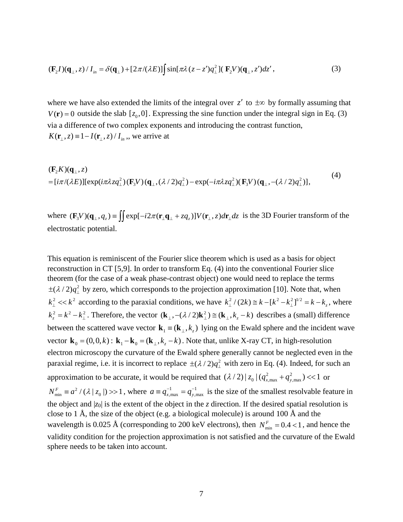$$
(\mathbf{F}_2 I)(\mathbf{q}_{\perp}, z) / I_{in} = \delta(\mathbf{q}_{\perp}) + [2\pi/(\lambda E)] \int \sin[\pi \lambda (z - z')q_{\perp}^2] (\mathbf{F}_2 V)(\mathbf{q}_{\perp}, z') dz', \qquad (3)
$$

where we have also extended the limits of the integral over  $z'$  to  $\pm\infty$  by formally assuming that  $V(\mathbf{r}) = 0$  outside the slab  $[z_0, 0]$ . Expressing the sine function under the integral sign in Eq. (3) via a difference of two complex exponents and introducing the contrast function,  $K(\mathbf{r}_{\perp}, z) \equiv 1 - I(\mathbf{r}_{\perp}, z)/I_{in}$ , we arrive at

$$
(\mathbf{F}_2 K)(\mathbf{q}_\perp, z)
$$
  
=  $[i\pi/(\lambda E)][\exp(i\pi\lambda z q_\perp^2)(\mathbf{F}_3 V)(\mathbf{q}_\perp, (\lambda/2)q_\perp^2) - \exp(-i\pi\lambda z q_\perp^2)(\mathbf{F}_3 V)(\mathbf{q}_\perp, -(\lambda/2)q_\perp^2)],$  (4)

where  $(\mathbf{F}_3 V)(\mathbf{q}_{\perp}, q_z) = \iint exp[-i2\pi(\mathbf{r}_{\perp}\mathbf{q}_{\perp} + zq_z)]V(\mathbf{r}_{\perp}, z)d\mathbf{r}_{\perp} dz$  is the 3D Fourier transform of the electrostatic potential.

This equation is reminiscent of the Fourier slice theorem which is used as a basis for object reconstruction in CT [5,9]. In order to transform Eq. (4) into the conventional Fourier slice theorem (for the case of a weak phase-contrast object) one would need to replace the terms  $\pm(\lambda/2)q_1^2$  by zero, which corresponds to the projection approximation [10]. Note that, when  $k_{\perp}^2 \ll k^2$  according to the paraxial conditions, we have  $k_{\perp}^2/(2k) \approx k - [k^2 - k_{\perp}^2]^{1/2} = k - k_z$ , where  $k_z^2 = k^2 - k_{\perp}^2$ . Therefore, the vector  $(\mathbf{k}_{\perp}, -(\lambda/2)\mathbf{k}_{\perp}^2) \cong (\mathbf{k}_{\perp}, k_z - k)$  describes a (small) difference between the scattered wave vector  $\mathbf{k}_{1} = (\mathbf{k}_{1}, k_{2})$  lying on the Ewald sphere and the incident wave vector  $\mathbf{k}_0 = (0, 0, k)$ :  $\mathbf{k}_1 - \mathbf{k}_0 = (\mathbf{k}_1, k, -k)$ . Note that, unlike X-ray CT, in high-resolution electron microscopy the curvature of the Ewald sphere generally cannot be neglected even in the paraxial regime, i.e. it is incorrect to replace  $\pm (\lambda/2) q_{\perp}^2$  with zero in Eq. (4). Indeed, for such an approximation to be accurate, it would be required that  $(\lambda/2) |z_0| (q_{x,\text{max}}^2 + q_{y,\text{max}}^2)$  << 1 or  $N_{\min}^F \equiv a^2 / (\lambda | z_0 |) >> 1$ , where  $a \equiv q_{x,\max}^{-1} = q_{y,\max}^{-1}$  is the size of the smallest resolvable feature in the object and  $|z_0|$  is the extent of the object in the *z* direction. If the desired spatial resolution is close to 1 Å, the size of the object (e.g. a biological molecule) is around 100 Å and the wavelength is 0.025 Å (corresponding to 200 keV electrons), then  $N_{\min}^F = 0.4 < 1$ , and hence the validity condition for the projection approximation is not satisfied and the curvature of the Ewald sphere needs to be taken into account.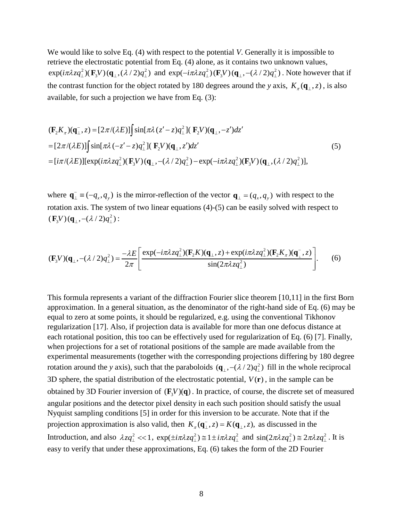We would like to solve Eq. (4) with respect to the potential *V*. Generally it is impossible to retrieve the electrostatic potential from Eq. (4) alone, as it contains two unknown values,  $exp(i\pi\lambda zq_{\perp}^2)(\mathbf{F}_3 V)(\mathbf{q}_{\perp}, (\lambda/2)q_{\perp}^2)$  and  $exp(-i\pi\lambda zq_{\perp}^2)(\mathbf{F}_3 V)(\mathbf{q}_{\perp}, -(\lambda/2)q_{\perp}^2)$ . Note however that if the contrast function for the object rotated by 180 degrees around the *y* axis,  $K_{\tau}(\mathbf{q}_{\perp}, z)$ , is also available, for such a projection we have from Eq. (3):

$$
(\mathbf{F}_2 K_{\pi})(\mathbf{q}_{\perp}^-, z) = [2\pi/(\lambda E)] \int \sin[\pi\lambda (z'-z)q_{\perp}^2] (\mathbf{F}_2 V)(\mathbf{q}_{\perp}, -z')dz'
$$
  
\n=  $[2\pi/(\lambda E)] \int \sin[\pi\lambda (-z'-z)q_{\perp}^2] (\mathbf{F}_2 V)(\mathbf{q}_{\perp}, z')dz'$  (5)  
\n=  $[i\pi/(\lambda E)][\exp(i\pi\lambda zq_{\perp}^2)(\mathbf{F}_3 V)(\mathbf{q}_{\perp}, -(\lambda/2)q_{\perp}^2) - \exp(-i\pi\lambda zq_{\perp}^2)(\mathbf{F}_3 V)(\mathbf{q}_{\perp}, (\lambda/2)q_{\perp}^2)],$ 

where  $\mathbf{q}_{\perp} = (-q_x, q_y)$  is the mirror-reflection of the vector  $\mathbf{q}_{\perp} = (q_x, q_y)$  with respect to the rotation axis. The system of two linear equations (4)-(5) can be easily solved with respect to  $(\mathbf{F}_{3}V)(\mathbf{q}_{\perp}, -(\lambda/2)q_{\perp}^{2})$ :

$$
(\mathbf{F}_3 V)(\mathbf{q}_\perp, -(\lambda/2)q_\perp^2) = \frac{-\lambda E}{2\pi} \left[ \frac{\exp(-i\pi\lambda z q_\perp^2)(\mathbf{F}_2 K)(\mathbf{q}_\perp, z) + \exp(i\pi\lambda z q_\perp^2)(\mathbf{F}_2 K_\pi)(\mathbf{q}_\perp^-, z)}{\sin(2\pi\lambda z q_\perp^2)} \right].
$$
 (6)

This formula represents a variant of the diffraction Fourier slice theorem [10,11] in the first Born approximation. In a general situation, as the denominator of the right-hand side of Eq. (6) may be equal to zero at some points, it should be regularized, e.g. using the conventional Tikhonov regularization [17]. Also, if projection data is available for more than one defocus distance at each rotational position, this too can be effectively used for regularization of Eq. (6) [7]. Finally, when projections for a set of rotational positions of the sample are made available from the experimental measurements (together with the corresponding projections differing by 180 degree rotation around the *y* axis), such that the paraboloids  $(\mathbf{q}_{\perp}, -(\lambda/2)q_{\perp}^2)$  fill in the whole reciprocal 3D sphere, the spatial distribution of the electrostatic potential,  $V(\mathbf{r})$ , in the sample can be obtained by 3D Fourier inversion of  $(F_x V)(q)$ . In practice, of course, the discrete set of measured angular positions and the detector pixel density in each such position should satisfy the usual Nyquist sampling conditions [5] in order for this inversion to be accurate. Note that if the projection approximation is also valid, then  $K_{\pi}(\mathbf{q}_{\perp}^-, z) = K(\mathbf{q}_{\perp}, z)$ , as discussed in the Introduction, and also  $\lambda zq_1^2 \ll 1$ ,  $\exp(\pm i\pi\lambda zq_1^2) \approx 1 \pm i\pi\lambda zq_1^2$  and  $\sin(2\pi\lambda zq_1^2) \approx 2\pi\lambda zq_1^2$ . It is easy to verify that under these approximations, Eq. (6) takes the form of the 2D Fourier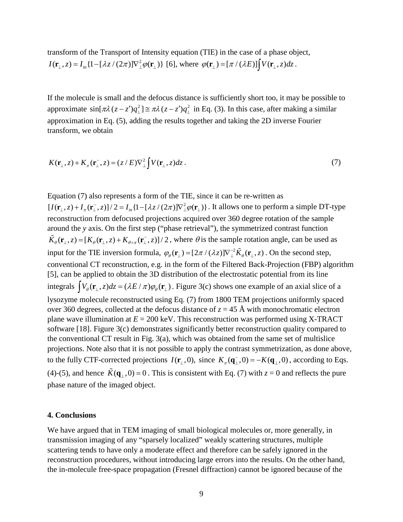transform of the Transport of Intensity equation (TIE) in the case of a phase object,  $I(\mathbf{r}_{\perp}, z) = I_{in} \{1 - [\lambda z / (2\pi)]\nabla_{\perp}^2 \varphi(\mathbf{r}_{\perp})\}$  [6], where  $\varphi(\mathbf{r}_{\perp}) = [\pi / (\lambda E)] \left[ V(\mathbf{r}_{\perp}, z) dz \right]$ .

If the molecule is small and the defocus distance is sufficiently short too, it may be possible to approximate  $\sin[\pi \lambda (z-z')q_1^2] \equiv \pi \lambda (z-z')q_1^2$  in Eq. (3). In this case, after making a similar approximation in Eq. (5), adding the results together and taking the 2D inverse Fourier transform, we obtain

$$
K(\mathbf{r}_{\perp}, z) + K_{\pi}(\mathbf{r}_{\perp}^{-}, z) = (z/E)\nabla_{\perp}^{2} \int V(\mathbf{r}_{\perp}, z) dz.
$$
 (7)

Equation (7) also represents a form of the TIE, since it can be re-written as  $[I(\mathbf{r}_\perp, z) + I_\pi(\mathbf{r}_\perp^-, z)] / 2 = I_{in} \{1 - [\lambda z / (2\pi)] \nabla_\perp^2 \varphi(\mathbf{r}_\perp)\}\.$  It allows one to perform a simple DT-type reconstruction from defocused projections acquired over 360 degree rotation of the sample around the *y* axis. On the first step ("phase retrieval"), the symmetrized contrast function  $\tilde{K}_{\theta}(\mathbf{r}_{\perp}, z) = [K_{\theta}(\mathbf{r}_{\perp}, z) + K_{\theta+\pi}(\mathbf{r}_{\perp}^-, z)]/2$ , where  $\theta$  is the sample rotation angle, can be used as input for the TIE inversion formula,  $\varphi_{\theta}(\mathbf{r}_{\perp}) = [2\pi / (\lambda z)] \nabla_{\perp}^{-2} \tilde{K}_{\theta}(\mathbf{r}_{\perp}, z)$ . On the second step, conventional CT reconstruction, e.g. in the form of the Filtered Back-Projection (FBP) algorithm [5], can be applied to obtain the 3D distribution of the electrostatic potential from its line integrals  $V_{\theta}(\mathbf{r}_{\perp}, z) dz = (\lambda E / \pi) \varphi_{\theta}(\mathbf{r}_{\perp})$ . Figure 3(c) shows one example of an axial slice of a lysozyme molecule reconstructed using Eq. (7) from 1800 TEM projections uniformly spaced over 360 degrees, collected at the defocus distance of  $z = 45$  Å with monochromatic electron plane wave illumination at  $E = 200$  keV. This reconstruction was performed using X-TRACT software [18]. Figure 3(c) demonstrates significantly better reconstruction quality compared to the conventional CT result in Fig. 3(a), which was obtained from the same set of multislice projections. Note also that it is not possible to apply the contrast symmetrization, as done above, to the fully CTF-corrected projections  $I(\mathbf{r}_\perp, 0)$ , since  $K_\pi(\mathbf{q}_\perp^-, 0) = -K(\mathbf{q}_\perp, 0)$ , according to Eqs. (4)-(5), and hence  $\tilde{K}(\mathbf{q}_{\perp},0) = 0$ . This is consistent with Eq. (7) with  $z = 0$  and reflects the pure phase nature of the imaged object.

#### **4. Conclusions**

We have argued that in TEM imaging of small biological molecules or, more generally, in transmission imaging of any "sparsely localized" weakly scattering structures, multiple scattering tends to have only a moderate effect and therefore can be safely ignored in the reconstruction procedures, without introducing large errors into the results. On the other hand, the in-molecule free-space propagation (Fresnel diffraction) cannot be ignored because of the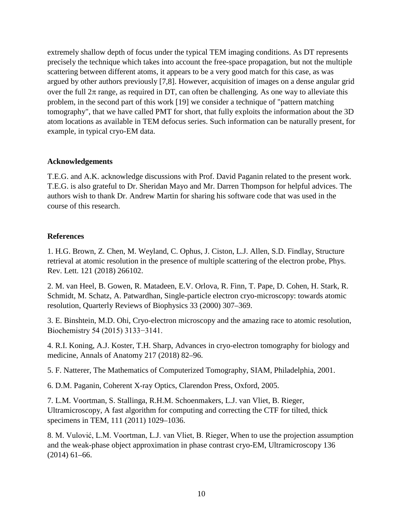extremely shallow depth of focus under the typical TEM imaging conditions. As DT represents precisely the technique which takes into account the free-space propagation, but not the multiple scattering between different atoms, it appears to be a very good match for this case, as was argued by other authors previously [7,8]. However, acquisition of images on a dense angular grid over the full  $2\pi$  range, as required in DT, can often be challenging. As one way to alleviate this problem, in the second part of this work [19] we consider a technique of "pattern matching tomography", that we have called PMT for short, that fully exploits the information about the 3D atom locations as available in TEM defocus series. Such information can be naturally present, for example, in typical cryo-EM data.

## **Acknowledgements**

T.E.G. and A.K. acknowledge discussions with Prof. David Paganin related to the present work. T.E.G. is also grateful to Dr. Sheridan Mayo and Mr. Darren Thompson for helpful advices. The authors wish to thank Dr. Andrew Martin for sharing his software code that was used in the course of this research.

## **References**

1. H.G. Brown, Z. Chen, M. Weyland, C. Ophus, J. Ciston, L.J. Allen, S.D. Findlay, Structure retrieval at atomic resolution in the presence of multiple scattering of the electron probe, Phys. Rev. Lett. 121 (2018) 266102.

2. M. van Heel, B. Gowen, R. Matadeen, E.V. Orlova, R. Finn, T. Pape, D. Cohen, H. Stark, R. Schmidt, M. Schatz, A. Patwardhan, Single-particle electron cryo-microscopy: towards atomic resolution, Quarterly Reviews of Biophysics 33 (2000) 307–369.

3. E. Binshtein, M.D. Ohi, Cryo-electron microscopy and the amazing race to atomic resolution, Biochemistry 54 (2015) 3133−3141.

4. R.I. Koning, A.J. Koster, T.H. Sharp, Advances in cryo-electron tomography for biology and medicine, Annals of Anatomy 217 (2018) 82–96.

5. F. Natterer, The Mathematics of Computerized Tomography, SIAM, Philadelphia, 2001.

6. D.M. Paganin, Coherent X-ray Optics, Clarendon Press, Oxford, 2005.

7. L.M. Voortman, S. Stallinga, R.H.M. Schoenmakers, L.J. van Vliet, B. Rieger, Ultramicroscopy, A fast algorithm for computing and correcting the CTF for tilted, thick specimens in TEM, 111 (2011) 1029–1036.

8. M. Vulović, L.M. Voortman, L.J. van Vliet, B. Rieger, When to use the projection assumption and the weak-phase object approximation in phase contrast cryo-EM, Ultramicroscopy 136 (2014) 61–66.